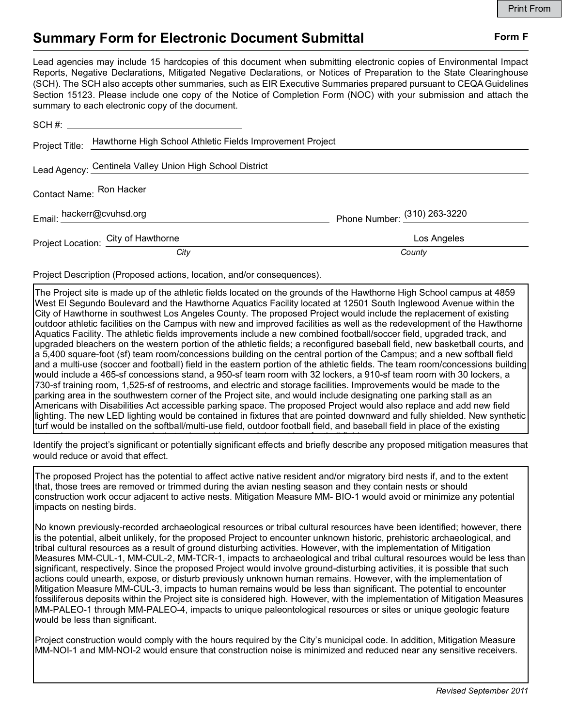## Summary Form for Electronic Document Submittal Form F

| <b>Summary Form for Electronic Document Submittal</b>                                                                                                                                                                                                                                                                                                                                                                                                                                                                                     | Form F                       |
|-------------------------------------------------------------------------------------------------------------------------------------------------------------------------------------------------------------------------------------------------------------------------------------------------------------------------------------------------------------------------------------------------------------------------------------------------------------------------------------------------------------------------------------------|------------------------------|
| Lead agencies may include 15 hardcopies of this document when submitting electronic copies of Environmental Impact<br>Reports, Negative Declarations, Mitigated Negative Declarations, or Notices of Preparation to the State Clearinghouse<br>(SCH). The SCH also accepts other summaries, such as EIR Executive Summaries prepared pursuant to CEQA Guidelines<br>Section 15123. Please include one copy of the Notice of Completion Form (NOC) with your submission and attach the<br>summary to each electronic copy of the document. |                              |
|                                                                                                                                                                                                                                                                                                                                                                                                                                                                                                                                           |                              |
| Hawthorne High School Athletic Fields Improvement Project<br>Project Title:                                                                                                                                                                                                                                                                                                                                                                                                                                                               |                              |
| Lead Agency: Centinela Valley Union High School District                                                                                                                                                                                                                                                                                                                                                                                                                                                                                  |                              |
| Contact Name: <b>Ron Hacker</b>                                                                                                                                                                                                                                                                                                                                                                                                                                                                                                           |                              |
| Email: hackerr@cvuhsd.org<br>Email: http://www.facebook.org                                                                                                                                                                                                                                                                                                                                                                                                                                                                               | Phone Number: (310) 263-3220 |
| Project Location: City of Hawthorne                                                                                                                                                                                                                                                                                                                                                                                                                                                                                                       | Los Angeles                  |
| City                                                                                                                                                                                                                                                                                                                                                                                                                                                                                                                                      | County                       |
| Project Description (Proposed actions, location, and/or consequences).                                                                                                                                                                                                                                                                                                                                                                                                                                                                    |                              |

The Project site is made up of the athletic fields located on the grounds of the Hawthorne High School campus at 4859 West El Segundo Boulevard and the Hawthorne Aquatics Facility located at 12501 South Inglewood Avenue within the City of Hawthorne in southwest Los Angeles County. The proposed Project would include the replacement of existing outdoor athletic facilities on the Campus with new and improved facilities as well as the redevelopment of the Hawthorne Aquatics Facility. The athletic fields improvements include a new combined football/soccer field, upgraded track, and upgraded bleachers on the western portion of the athletic fields; a reconfigured baseball field, new basketball courts, and a 5,400 square-foot (sf) team room/concessions building on the central portion of the Campus; and a new softball field and a multi-use (soccer and football) field in the eastern portion of the athletic fields. The team room/concessions building would include a 465-sf concessions stand, a 950-sf team room with 32 lockers, a 910-sf team room with 30 lockers, a 730-sf training room, 1,525-sf of restrooms, and electric and storage facilities. Improvements would be made to the parking area in the southwestern corner of the Project site, and would include designating one parking stall as an Americans with Disabilities Act accessible parking space. The proposed Project would also replace and add new field lighting. The new LED lighting would be contained in fixtures that are pointed downward and fully shielded. New synthetic turf would be installed on the softball/multi-use field, outdoor football field, and baseball field in place of the existing

Identify the project's significant or potentially significant effects and briefly describe any proposed mitigation measures that would reduce or avoid that effect. natural grass and a new synthetic track would surround the outdoor football field.

The proposed Project has the potential to affect active native resident and/or migratory bird nests if, and to the extent that, those trees are removed or trimmed during the avian nesting season and they contain nests or should construction work occur adjacent to active nests. Mitigation Measure MM- BIO-1 would avoid or minimize any potential impacts on nesting birds.

No known previously-recorded archaeological resources or tribal cultural resources have been identified; however, there is the potential, albeit unlikely, for the proposed Project to encounter unknown historic, prehistoric archaeological, and tribal cultural resources as a result of ground disturbing activities. However, with the implementation of Mitigation Measures MM-CUL-1, MM-CUL-2, MM-TCR-1, impacts to archaeological and tribal cultural resources would be less than significant, respectively. Since the proposed Project would involve ground-disturbing activities, it is possible that such actions could unearth, expose, or disturb previously unknown human remains. However, with the implementation of Mitigation Measure MM-CUL-3, impacts to human remains would be less than significant. The potential to encounter fossiliferous deposits within the Project site is considered high. However, with the implementation of Mitigation Measures MM-PALEO-1 through MM-PALEO-4, impacts to unique paleontological resources or sites or unique geologic feature would be less than significant.

Project construction would comply with the hours required by the City's municipal code. In addition, Mitigation Measure MM-NOI-1 and MM-NOI-2 would ensure that construction noise is minimized and reduced near any sensitive receivers.